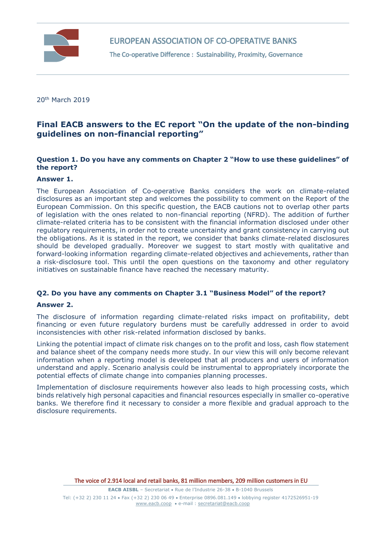

The Co-operative Difference : Sustainability, Proximity, Governance

20th March 2019

# **Final EACB answers to the EC report "On the update of the non-binding guidelines on non-financial reporting"**

# **Question 1. Do you have any comments on Chapter 2 "How to use these guidelines" of the report?**

## **Answer 1.**

The European Association of Co-operative Banks considers the work on climate-related disclosures as an important step and welcomes the possibility to comment on the Report of the European Commission. On this specific question, the EACB cautions not to overlap other parts of legislation with the ones related to non-financial reporting (NFRD). The addition of further climate-related criteria has to be consistent with the financial information disclosed under other regulatory requirements, in order not to create uncertainty and grant consistency in carrying out the obligations. As it is stated in the report, we consider that banks climate-related disclosures should be developed gradually. Moreover we suggest to start mostly with qualitative and forward-looking information regarding climate-related objectives and achievements, rather than a risk-disclosure tool. This until the open questions on the taxonomy and other regulatory initiatives on sustainable finance have reached the necessary maturity.

# **Q2. Do you have any comments on Chapter 3.1 "Business Model" of the report?**

### **Answer 2.**

The disclosure of information regarding climate-related risks impact on profitability, debt financing or even future regulatory burdens must be carefully addressed in order to avoid inconsistencies with other risk-related information disclosed by banks.

Linking the potential impact of climate risk changes on to the profit and loss, cash flow statement and balance sheet of the company needs more study. In our view this will only become relevant information when a reporting model is developed that all producers and users of information understand and apply. Scenario analysis could be instrumental to appropriately incorporate the potential effects of climate change into companies planning processes.

Implementation of disclosure requirements however also leads to high processing costs, which binds relatively high personal capacities and financial resources especially in smaller co-operative banks. We therefore find it necessary to consider a more flexible and gradual approach to the disclosure requirements.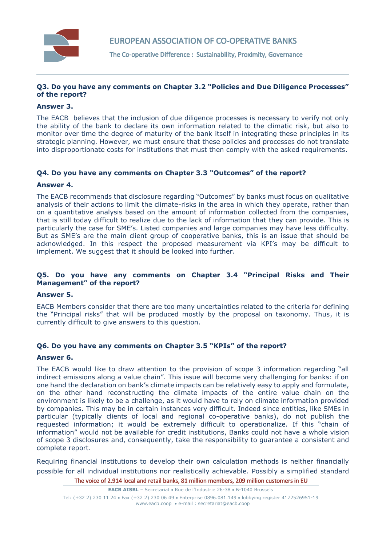

EUROPEAN ASSOCIATION OF CO-OPERATIVE BANKS

The Co-operative Difference : Sustainability, Proximity, Governance

# **Q3. Do you have any comments on Chapter 3.2 "Policies and Due Diligence Processes" of the report?**

## **Answer 3.**

The EACB believes that the inclusion of due diligence processes is necessary to verify not only the ability of the bank to declare its own information related to the climatic risk, but also to monitor over time the degree of maturity of the bank itself in integrating these principles in its strategic planning. However, we must ensure that these policies and processes do not translate into disproportionate costs for institutions that must then comply with the asked requirements.

## **Q4. Do you have any comments on Chapter 3.3 "Outcomes" of the report?**

### **Answer 4.**

The EACB recommends that disclosure regarding "Outcomes" by banks must focus on qualitative analysis of their actions to limit the climate-risks in the area in which they operate, rather than on a quantitative analysis based on the amount of information collected from the companies, that is still today difficult to realize due to the lack of information that they can provide. This is particularly the case for SME's. Listed companies and large companies may have less difficulty. But as SME's are the main client group of cooperative banks, this is an issue that should be acknowledged. In this respect the proposed measurement via KPI's may be difficult to implement. We suggest that it should be looked into further.

## **Q5. Do you have any comments on Chapter 3.4 "Principal Risks and Their Management" of the report?**

# **Answer 5.**

EACB Members consider that there are too many uncertainties related to the criteria for defining the "Principal risks" that will be produced mostly by the proposal on taxonomy. Thus, it is currently difficult to give answers to this question.

# **Q6. Do you have any comments on Chapter 3.5 "KPIs" of the report?**

### **Answer 6.**

The EACB would like to draw attention to the provision of scope 3 information regarding "all indirect emissions along a value chain". This issue will become very challenging for banks: if on one hand the declaration on bank's climate impacts can be relatively easy to apply and formulate, on the other hand reconstructing the climate impacts of the entire value chain on the environment is likely to be a challenge, as it would have to rely on climate information provided by companies. This may be in certain instances very difficult. Indeed since entities, like SMEs in particular (typically clients of local and regional co-operative banks), do not publish the requested information; it would be extremely difficult to operationalize. If this "chain of information" would not be available for credit institutions, Banks could not have a whole vision of scope 3 disclosures and, consequently, take the responsibility to guarantee a consistent and complete report.

Requiring financial institutions to develop their own calculation methods is neither financially possible for all individual institutions nor realistically achievable. Possibly a simplified standard

The voice of 2.914 local and retail banks, 81 million members, 209 million customers in EU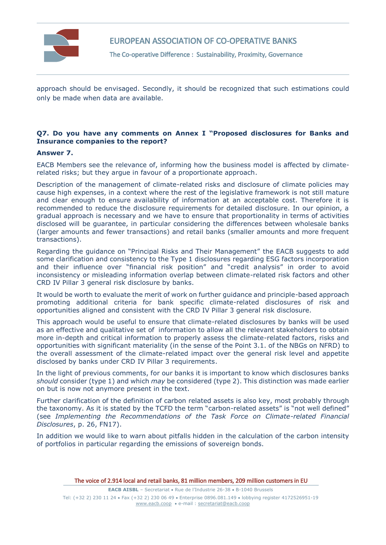

EUROPEAN ASSOCIATION OF CO-OPERATIVE BANKS

The Co-operative Difference : Sustainability, Proximity, Governance

approach should be envisaged. Secondly, it should be recognized that such estimations could only be made when data are available.

# **Q7. Do you have any comments on Annex I "Proposed disclosures for Banks and Insurance companies to the report?**

### **Answer 7.**

EACB Members see the relevance of, informing how the business model is affected by climaterelated risks; but they argue in favour of a proportionate approach.

Description of the management of climate-related risks and disclosure of climate policies may cause high expenses, in a context where the rest of the legislative framework is not still mature and clear enough to ensure availability of information at an acceptable cost. Therefore it is recommended to reduce the disclosure requirements for detailed disclosure. In our opinion, a gradual approach is necessary and we have to ensure that proportionality in terms of activities disclosed will be guarantee, in particular considering the differences between wholesale banks (larger amounts and fewer transactions) and retail banks (smaller amounts and more frequent transactions).

Regarding the guidance on "Principal Risks and Their Management" the EACB suggests to add some clarification and consistency to the Type 1 disclosures regarding ESG factors incorporation and their influence over "financial risk position" and "credit analysis" in order to avoid inconsistency or misleading information overlap between climate-related risk factors and other CRD IV Pillar 3 general risk disclosure by banks.

It would be worth to evaluate the merit of work on further guidance and principle-based approach promoting additional criteria for bank specific climate-related disclosures of risk and opportunities aligned and consistent with the CRD IV Pillar 3 general risk disclosure.

This approach would be useful to ensure that climate-related disclosures by banks will be used as an effective and qualitative set of information to allow all the relevant stakeholders to obtain more in-depth and critical information to properly assess the climate-related factors, risks and opportunities with significant materiality (in the sense of the Point 3.1. of the NBGs on NFRD) to the overall assessment of the climate-related impact over the general risk level and appetite disclosed by banks under CRD IV Pillar 3 requirements.

In the light of previous comments, for our banks it is important to know which disclosures banks *should* consider (type 1) and which *may* be considered (type 2). This distinction was made earlier on but is now not anymore present in the text.

Further clarification of the definition of carbon related assets is also key, most probably through the taxonomy. As it is stated by the TCFD the term "carbon-related assets" is "not well defined" (see *Implementing the Recommendations of the Task Force on Climate-related Financial Disclosures*, p. 26, FN17).

In addition we would like to warn about pitfalls hidden in the calculation of the carbon intensity of portfolios in particular regarding the emissions of sovereign bonds.

The voice of 2.914 local and retail banks, 81 million members, 209 million customers in EU

**EACB AISBL** - Secretariat . Rue de l'Industrie 26-38 . B-1040 Brussels Tel: (+32 2) 230 11 24 Fax (+32 2) 230 06 49 Enterprise 0896.081.149 lobbying register 4172526951-19 [www.eacb.coop](http://www.eacb.coop/)  e-mail [: secretariat@eacb.coop](mailto:secretariat@eacb.coop)